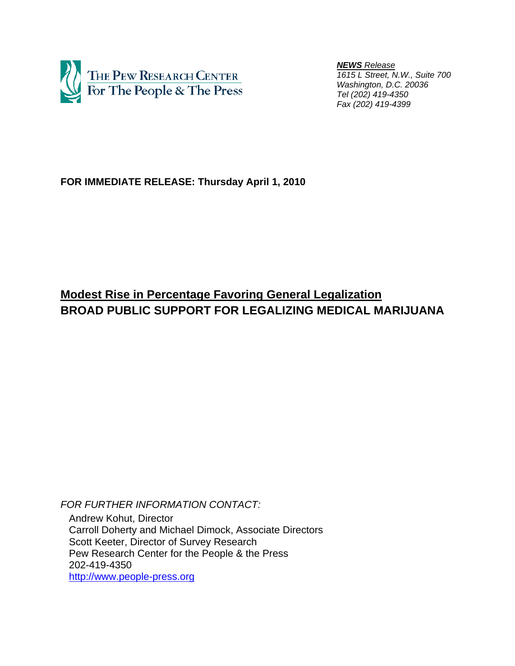

 *NEWS Release 1615 L Street, N.W., Suite 700 Washington, D.C. 20036 Tel (202) 419-4350 Fax (202) 419-4399*

## **FOR IMMEDIATE RELEASE: Thursday April 1, 2010**

# **Modest Rise in Percentage Favoring General Legalization BROAD PUBLIC SUPPORT FOR LEGALIZING MEDICAL MARIJUANA**

*FOR FURTHER INFORMATION CONTACT:* 

 Andrew Kohut, Director Carroll Doherty and Michael Dimock, Associate Directors Scott Keeter, Director of Survey Research Pew Research Center for the People & the Press 202-419-4350 http://www.people-press.org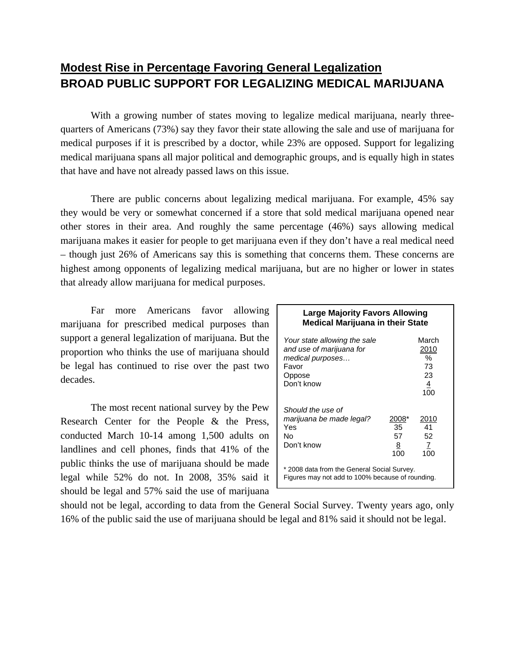# **Modest Rise in Percentage Favoring General Legalization BROAD PUBLIC SUPPORT FOR LEGALIZING MEDICAL MARIJUANA**

With a growing number of states moving to legalize medical marijuana, nearly threequarters of Americans (73%) say they favor their state allowing the sale and use of marijuana for medical purposes if it is prescribed by a doctor, while 23% are opposed. Support for legalizing medical marijuana spans all major political and demographic groups, and is equally high in states that have and have not already passed laws on this issue.

There are public concerns about legalizing medical marijuana. For example, 45% say they would be very or somewhat concerned if a store that sold medical marijuana opened near other stores in their area. And roughly the same percentage (46%) says allowing medical marijuana makes it easier for people to get marijuana even if they don't have a real medical need – though just 26% of Americans say this is something that concerns them. These concerns are highest among opponents of legalizing medical marijuana, but are no higher or lower in states that already allow marijuana for medical purposes.

Far more Americans favor allowing marijuana for prescribed medical purposes than support a general legalization of marijuana. But the proportion who thinks the use of marijuana should be legal has continued to rise over the past two decades.

The most recent national survey by the Pew Research Center for the People & the Press, conducted March 10-14 among 1,500 adults on landlines and cell phones, finds that 41% of the public thinks the use of marijuana should be made legal while 52% do not. In 2008, 35% said it should be legal and 57% said the use of marijuana

#### **Large Majority Favors Allowing Medical Marijuana in their State**

| Your state allowing the sale<br>and use of marijuana for<br>medical purposes<br>Favor<br>Oppose<br>Don't know |                                             | March<br>2010<br>%<br>73<br>23<br>$\overline{4}$<br>100 |
|---------------------------------------------------------------------------------------------------------------|---------------------------------------------|---------------------------------------------------------|
| Should the use of<br>marijuana be made legal?<br>Yes<br>N٥<br>Don't know                                      | 2008*<br>35<br>57<br>$\underline{8}$<br>100 | 2010<br>41<br>52<br>7<br>100                            |
| * 2008 data from the General Social Survey.<br>Figures may not add to 100% because of rounding.               |                                             |                                                         |

should not be legal, according to data from the General Social Survey. Twenty years ago, only 16% of the public said the use of marijuana should be legal and 81% said it should not be legal.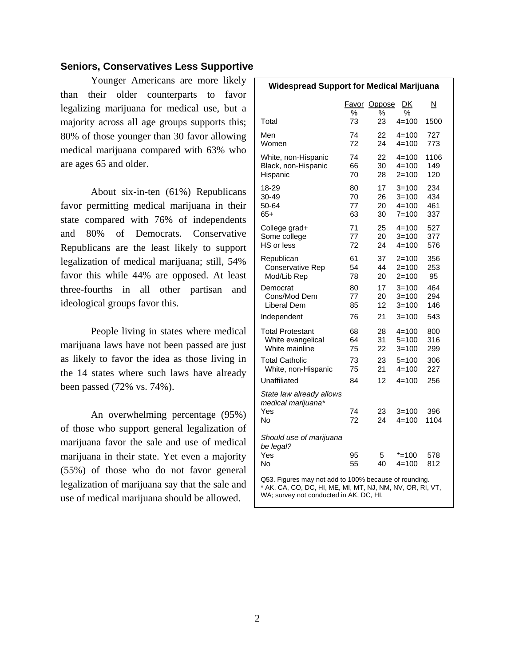## **Seniors, Conservatives Less Supportive**

Younger Americans are more likely than their older counterparts to favor legalizing marijuana for medical use, but a majority across all age groups supports this; 80% of those younger than 30 favor allowing medical marijuana compared with 63% who are ages 65 and older.

About six-in-ten (61%) Republicans favor permitting medical marijuana in their state compared with 76% of independents and 80% of Democrats. Conservative Republicans are the least likely to support legalization of medical marijuana; still, 54% favor this while 44% are opposed. At least three-fourths in all other partisan and ideological groups favor this.

People living in states where medical marijuana laws have not been passed are just as likely to favor the idea as those living in the 14 states where such laws have already been passed (72% vs. 74%).

An overwhelming percentage (95%) of those who support general legalization of marijuana favor the sale and use of medical marijuana in their state. Yet even a majority (55%) of those who do not favor general legalization of marijuana say that the sale and use of medical marijuana should be allowed.

| <b>Widespread Support for Medical Marijuana</b>                                                                                                               |            |             |                        |             |  |
|---------------------------------------------------------------------------------------------------------------------------------------------------------------|------------|-------------|------------------------|-------------|--|
|                                                                                                                                                               | Favor<br>% | Oppose<br>% | DK<br>℅                | N           |  |
| Total                                                                                                                                                         | 73         | 23          | $4 = 100$              | 1500        |  |
| Men                                                                                                                                                           | 74         | 22          | $4 = 100$              | 727         |  |
| Women                                                                                                                                                         | 72         | 24          | $4 = 100$              | 773         |  |
| White, non-Hispanic                                                                                                                                           | 74         | 22          | $4 = 100$              | 1106        |  |
| Black, non-Hispanic                                                                                                                                           | 66         | 30          | $4 = 100$              | 149         |  |
| Hispanic                                                                                                                                                      | 70         | 28          | $2 = 100$              | 120         |  |
| 18-29                                                                                                                                                         | 80         | 17          | $3 = 100$              | 234         |  |
| 30-49                                                                                                                                                         | 70         | 26          | $3 = 100$              | 434         |  |
| 50-64                                                                                                                                                         | 77         | 20          | $4 = 100$              | 461         |  |
| 65+                                                                                                                                                           | 63         | 30          | $7 = 100$              | 337         |  |
| College grad+                                                                                                                                                 | 71         | 25          | $4 = 100$              | 527         |  |
| Some college                                                                                                                                                  | 77         | 20          | $3 = 100$              | 377         |  |
| HS or less                                                                                                                                                    | 72         | 24          | $4 = 100$              | 576         |  |
| Republican                                                                                                                                                    | 61         | 37          | 2=100                  | 356         |  |
| Conservative Rep                                                                                                                                              | 54         | 44          | $2 = 100$              | 253         |  |
| Mod/Lib Rep                                                                                                                                                   | 78         | 20          | $2 = 100$              | 95          |  |
| Democrat                                                                                                                                                      | 80         | 17          | $3 = 100$              | 464         |  |
| Cons/Mod Dem                                                                                                                                                  | 77         | 20          | $3 = 100$              | 294         |  |
| Liberal Dem                                                                                                                                                   | 85         | 12          | $3 = 100$              | 146         |  |
| Independent                                                                                                                                                   | 76         | 21          | $3 = 100$              | 543         |  |
| <b>Total Protestant</b>                                                                                                                                       | 68         | 28          | $4 = 100$              | 800         |  |
| White evangelical                                                                                                                                             | 64         | 31          | $5 = 100$              | 316         |  |
| White mainline                                                                                                                                                | 75         | 22          | $3 = 100$              | 299         |  |
| <b>Total Catholic</b>                                                                                                                                         | 73         | 23          | $5=100$                | 306         |  |
| White, non-Hispanic                                                                                                                                           | 75         | 21          | $4 = 100$              | 227         |  |
| Unaffiliated                                                                                                                                                  | 84         | 12          | $4 = 100$              | 256         |  |
| State law already allows<br>medical marijuana*<br>Yes<br>No                                                                                                   | 74<br>72   | 23<br>24    | $3 = 100$<br>$4 = 100$ | 396<br>1104 |  |
| Should use of marijuana<br>be legal?<br>Yes<br>No                                                                                                             | 95<br>55   | 5<br>40     | $* = 100$<br>$4 = 100$ | 578<br>812  |  |
| Q53. Figures may not add to 100% because of rounding.<br>* AK, CĂ, CO, DC, HI, ME, MI, MT, NJ, NM, NV, OR, RĪ, VT,<br>WA; survey not conducted in AK, DC, HI. |            |             |                        |             |  |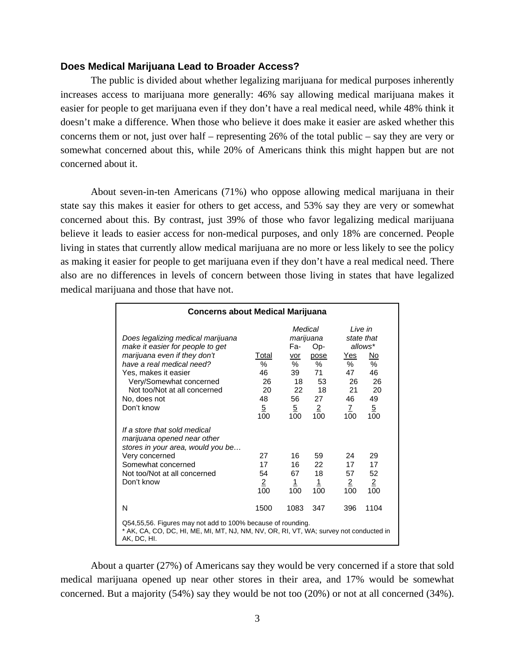## **Does Medical Marijuana Lead to Broader Access?**

The public is divided about whether legalizing marijuana for medical purposes inherently increases access to marijuana more generally: 46% say allowing medical marijuana makes it easier for people to get marijuana even if they don't have a real medical need, while 48% think it doesn't make a difference. When those who believe it does make it easier are asked whether this concerns them or not, just over half – representing 26% of the total public – say they are very or somewhat concerned about this, while 20% of Americans think this might happen but are not concerned about it.

About seven-in-ten Americans (71%) who oppose allowing medical marijuana in their state say this makes it easier for others to get access, and 53% say they are very or somewhat concerned about this. By contrast, just 39% of those who favor legalizing medical marijuana believe it leads to easier access for non-medical purposes, and only 18% are concerned. People living in states that currently allow medical marijuana are no more or less likely to see the policy as making it easier for people to get marijuana even if they don't have a real medical need. There also are no differences in levels of concern between those living in states that have legalized medical marijuana and those that have not.

| <b>Concerns about Medical Marijuana</b>                                                                                                                                                                                                             |                                                             |                                                                             |                                                                                   |                                                                                                                                                          |  |
|-----------------------------------------------------------------------------------------------------------------------------------------------------------------------------------------------------------------------------------------------------|-------------------------------------------------------------|-----------------------------------------------------------------------------|-----------------------------------------------------------------------------------|----------------------------------------------------------------------------------------------------------------------------------------------------------|--|
| Does legalizing medical marijuana<br>make it easier for people to get<br>marijuana even if they don't<br>have a real medical need?<br>Yes, makes it easier<br>Very/Somewhat concerned<br>Not too/Not at all concerned<br>No, does not<br>Don't know | Total<br>℅<br>46<br>26<br>20<br>48<br>$\overline{5}$<br>100 | Medical<br>Fa-<br>vor<br>%<br>39<br>18<br>22<br>56<br>$\overline{5}$<br>100 | marijuana<br>Op-<br>pose<br>$\%$<br>71<br>53<br>18<br>27<br>$\overline{2}$<br>100 | Live in<br>state that<br>allows*<br>Yes<br>No<br>%<br>%<br>46<br>47<br>26<br>26<br>20<br>21<br>46<br>49<br>$\mathcal{I}$<br>$\overline{5}$<br>100<br>100 |  |
| If a store that sold medical<br>marijuana opened near other<br>stores in your area, would you be<br>Very concerned<br>Somewhat concerned<br>Not too/Not at all concerned<br>Don't know                                                              | 27<br>17<br>54<br>$\overline{2}$<br>100                     | 16<br>16 —<br>67<br><u>1</u><br>100                                         | 59<br>22<br>18<br><u>1</u><br>100                                                 | 24<br>29<br>17<br>17<br>52<br>57<br>$\overline{2}$<br>$\overline{2}$<br>100<br>100                                                                       |  |
| N                                                                                                                                                                                                                                                   | 1500                                                        | 1083                                                                        | 347                                                                               | 1104<br>396                                                                                                                                              |  |
| Q54,55,56. Figures may not add to 100% because of rounding.<br>* AK, CA, CO, DC, HI, ME, MI, MT, NJ, NM, NV, OR, RI, VT, WA; survey not conducted in<br>AK, DC, HI.                                                                                 |                                                             |                                                                             |                                                                                   |                                                                                                                                                          |  |

About a quarter (27%) of Americans say they would be very concerned if a store that sold medical marijuana opened up near other stores in their area, and 17% would be somewhat concerned. But a majority (54%) say they would be not too (20%) or not at all concerned (34%).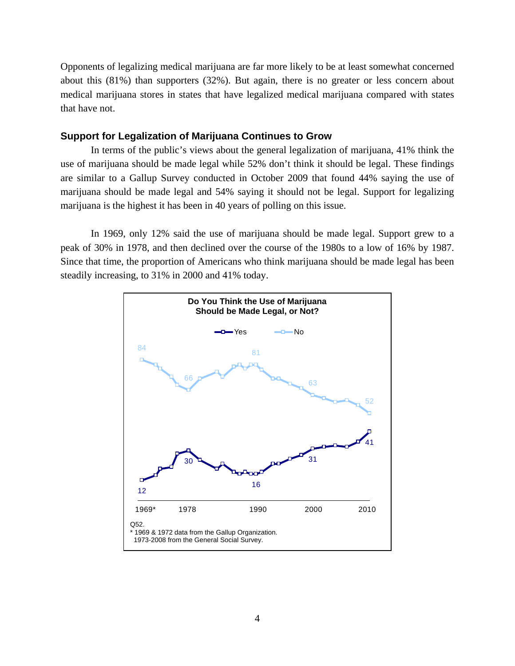Opponents of legalizing medical marijuana are far more likely to be at least somewhat concerned about this (81%) than supporters (32%). But again, there is no greater or less concern about medical marijuana stores in states that have legalized medical marijuana compared with states that have not.

## **Support for Legalization of Marijuana Continues to Grow**

In terms of the public's views about the general legalization of marijuana, 41% think the use of marijuana should be made legal while 52% don't think it should be legal. These findings are similar to a Gallup Survey conducted in October 2009 that found 44% saying the use of marijuana should be made legal and 54% saying it should not be legal. Support for legalizing marijuana is the highest it has been in 40 years of polling on this issue.

In 1969, only 12% said the use of marijuana should be made legal. Support grew to a peak of 30% in 1978, and then declined over the course of the 1980s to a low of 16% by 1987. Since that time, the proportion of Americans who think marijuana should be made legal has been steadily increasing, to 31% in 2000 and 41% today.

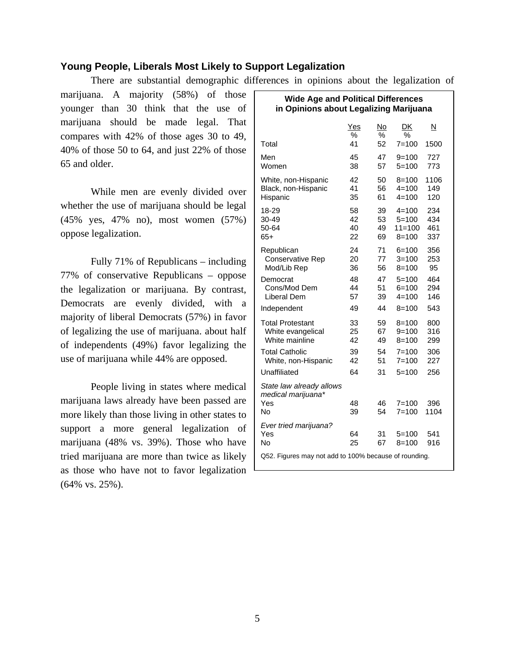## **Young People, Liberals Most Likely to Support Legalization**

There are substantial demographic differences in opinions about the legalization of

marijuana. A majority (58%) of those younger than 30 think that the use of marijuana should be made legal. That compares with 42% of those ages 30 to 49, 40% of those 50 to 64, and just 22% of those 65 and older.

While men are evenly divided over whether the use of marijuana should be legal (45% yes, 47% no), most women (57%) oppose legalization.

Fully 71% of Republicans – including 77% of conservative Republicans – oppose the legalization or marijuana. By contrast, Democrats are evenly divided, with a majority of liberal Democrats (57%) in favor of legalizing the use of marijuana. about half of independents (49%) favor legalizing the use of marijuana while 44% are opposed.

People living in states where medical marijuana laws already have been passed are more likely than those living in other states to support a more general legalization of marijuana (48% vs. 39%). Those who have tried marijuana are more than twice as likely as those who have not to favor legalization (64% vs. 25%).

| <b>Wide Age and Political Differences</b><br>in Opinions about Legalizing Marijuana         |                      |                      |                                                   |                          |  |
|---------------------------------------------------------------------------------------------|----------------------|----------------------|---------------------------------------------------|--------------------------|--|
|                                                                                             | Yes<br>$\%$          | No<br>$\%$           | DK<br>%                                           | N                        |  |
| Total                                                                                       | 41                   | 52                   | $7 = 100$                                         | 1500                     |  |
| Men<br>Women                                                                                | 45<br>38             | 47<br>57             | $9 = 100$<br>$5=100$                              | 727<br>773               |  |
| White, non-Hispanic<br>Black, non-Hispanic<br>Hispanic                                      | 42<br>41<br>35       | 50<br>56<br>61       | $8 = 100$<br>$4 = 100$<br>$4 = 100$               | 1106<br>149<br>120       |  |
| 18-29<br>30-49<br>50-64<br>$65+$                                                            | 58<br>42<br>40<br>22 | 39<br>53<br>49<br>69 | $4 = 100$<br>$5 = 100$<br>$11 = 100$<br>$8 = 100$ | 234<br>434<br>461<br>337 |  |
| Republican<br><b>Conservative Rep</b><br>Mod/Lib Rep                                        | 24<br>20<br>36       | 71<br>77<br>56       | $6 = 100$<br>$3 = 100$<br>$8 = 100$               | 356<br>253<br>95         |  |
| Democrat<br>Cons/Mod Dem<br>Liberal Dem                                                     | 48<br>44<br>57       | 47<br>51<br>39       | $5 = 100$<br>$6 = 100$<br>$4 = 100$               | 464<br>294<br>146        |  |
| Independent                                                                                 | 49                   | 44                   | $8 = 100$                                         | 543                      |  |
| <b>Total Protestant</b><br>White evangelical<br>White mainline                              | 33<br>25<br>42       | 59<br>67<br>49       | $8 = 100$<br>$9 = 100$<br>$8 = 100$               | 800<br>316<br>299        |  |
| <b>Total Catholic</b><br>White, non-Hispanic                                                | 39<br>42             | 54<br>51             | $7 = 100$<br>$7 = 100$                            | 306<br>227               |  |
| Unaffiliated                                                                                | 64                   | 31                   | $5 = 100$                                         | 256                      |  |
| State law already allows<br>medical marijuana*<br>Yes<br>No                                 | 48<br>39             | 46<br>54             | $7 = 100$<br>$7 = 100$                            | 396<br>1104              |  |
| Ever tried marijuana?<br>Yes<br>No<br>Q52. Figures may not add to 100% because of rounding. | 64<br>25             | 31<br>67             | $5 = 100$<br>$8 = 100$                            | 541<br>916               |  |
|                                                                                             |                      |                      |                                                   |                          |  |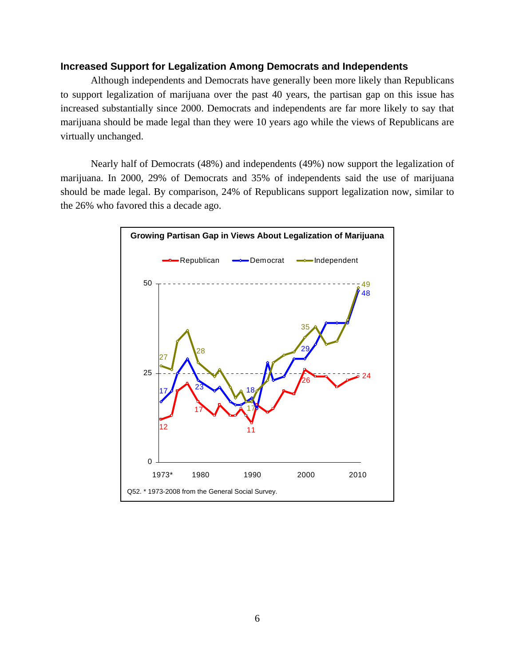## **Increased Support for Legalization Among Democrats and Independents**

Although independents and Democrats have generally been more likely than Republicans to support legalization of marijuana over the past 40 years, the partisan gap on this issue has increased substantially since 2000. Democrats and independents are far more likely to say that marijuana should be made legal than they were 10 years ago while the views of Republicans are virtually unchanged.

Nearly half of Democrats (48%) and independents (49%) now support the legalization of marijuana. In 2000, 29% of Democrats and 35% of independents said the use of marijuana should be made legal. By comparison, 24% of Republicans support legalization now, similar to the 26% who favored this a decade ago.

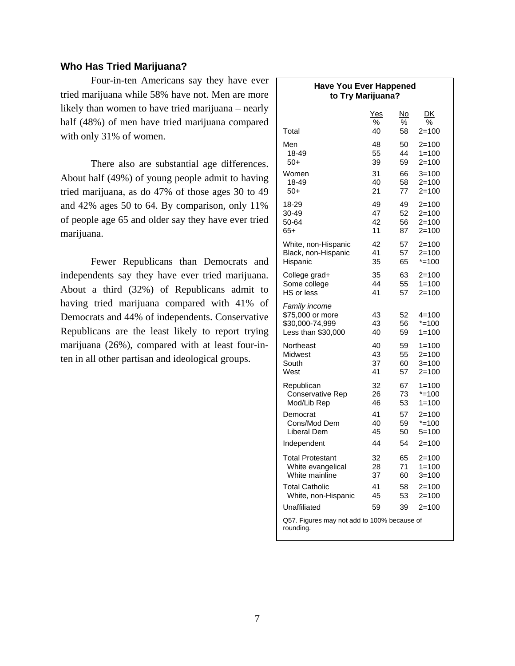## **Who Has Tried Marijuana?**

Four-in-ten Americans say they have ever  $\Gamma$ tried marijuana while 58% have not. Men are more likely than women to have tried marijuana – nearly half (48%) of men have tried marijuana compared with only 31% of women.

There also are substantial age differences. About half (49%) of young people admit to having tried marijuana, as do 47% of those ages 30 to 49 and 42% ages 50 to 64. By comparison, only 11% of people age 65 and older say they have ever tried marijuana.

Fewer Republicans than Democrats and independents say they have ever tried marijuana. About a third (32%) of Republicans admit to having tried marijuana compared with 41% of Democrats and 44% of independents. Conservative Republicans are the least likely to report trying marijuana (26%), compared with at least four-inten in all other partisan and ideological groups.

| <b>Have You Ever Happened</b><br>to Try Marijuana?                         |                |                |                                     |  |
|----------------------------------------------------------------------------|----------------|----------------|-------------------------------------|--|
| Total                                                                      | Yes            | <u>No</u>      | DK                                  |  |
|                                                                            | %              | %              | ℅                                   |  |
|                                                                            | 40             | 58             | $2 = 100$                           |  |
| Men                                                                        | 48             | 50             | $2 = 100$                           |  |
| 18-49                                                                      | 55             | 44             | $1 = 100$                           |  |
| 50+                                                                        | 39             | 59             | $2 = 100$                           |  |
| Women                                                                      | 31             | 66             | $3 = 100$                           |  |
| 18-49                                                                      | 40             | 58             | $2 = 100$                           |  |
| $50+$                                                                      | 21             | 77             | $2 = 100$                           |  |
| 18-29                                                                      | 49             | 49             | $2 = 100$                           |  |
| 30-49                                                                      | 47             | 52             | $2 = 100$                           |  |
| 50-64                                                                      | 42             | 56             | $2 = 100$                           |  |
| 65+                                                                        | 11             | 87             | 2=100                               |  |
| White, non-Hispanic                                                        | 42             | 57             | $2 = 100$                           |  |
| Black, non-Hispanic                                                        | 41             | 57             | $2 = 100$                           |  |
| Hispanic                                                                   | 35             | 65             | $* = 100$                           |  |
| College grad+                                                              | 35             | 63             | $2 = 100$                           |  |
| Some college                                                               | 44             | 55             | $1 = 100$                           |  |
| HS or less                                                                 | 41             | 57             | $2 = 100$                           |  |
| Family income<br>\$75,000 or more<br>\$30,000-74,999<br>Less than \$30,000 | 43<br>43<br>40 | 52<br>56<br>59 | $4 = 100$<br>$* = 100$<br>$1 = 100$ |  |
| Northeast                                                                  | 40             | 59             | $1 = 100$                           |  |
| Midwest                                                                    | 43             | 55             | $2 = 100$                           |  |
| South                                                                      | 37             | 60             | $3 = 100$                           |  |
| West                                                                       | 41             | 57             | 2=100                               |  |
| Republican                                                                 | 32             | 67             | $1 = 100$                           |  |
| Conservative Rep                                                           | 26             | 73             | $* = 100$                           |  |
| Mod/Lib Rep                                                                | 46             | 53             | $1 = 100$                           |  |
| Democrat                                                                   | 41             | 57             | $2 = 100$                           |  |
| Cons/Mod Dem                                                               | 40             | 59             | $* = 100$                           |  |
| Liberal Dem                                                                | 45             | 50             | $5 = 100$                           |  |
| Independent                                                                | 44             | 54             | $2 = 100$                           |  |
| <b>Total Protestant</b>                                                    | 32             | 65             | 2=100                               |  |
| White evangelical                                                          | 28             | 71             | $1 = 100$                           |  |
| White mainline                                                             | 37             | 60             | $3 = 100$                           |  |
| <b>Total Catholic</b>                                                      | 41             | 58             | 2=100                               |  |
| White, non-Hispanic                                                        | 45             | 53             | 2=100                               |  |
| Unaffiliated                                                               | 59             | 39             | $2 = 100$                           |  |
| Q57. Figures may not add to 100% because of<br>rounding.                   |                |                |                                     |  |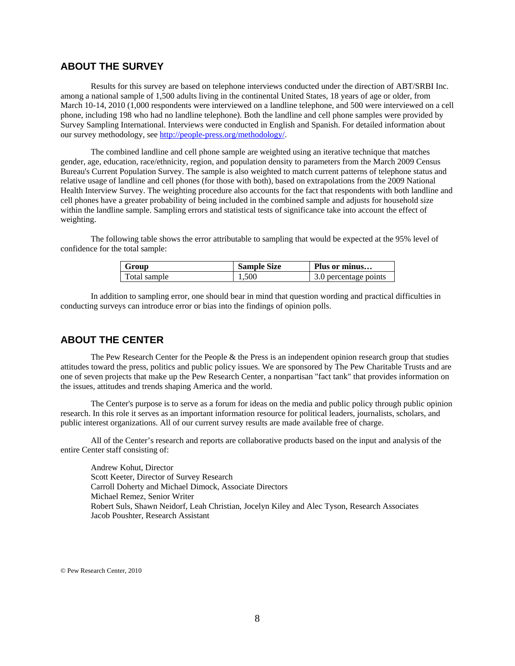## **ABOUT THE SURVEY**

Results for this survey are based on telephone interviews conducted under the direction of ABT/SRBI Inc. among a national sample of 1,500 adults living in the continental United States, 18 years of age or older, from March 10-14, 2010 (1,000 respondents were interviewed on a landline telephone, and 500 were interviewed on a cell phone, including 198 who had no landline telephone). Both the landline and cell phone samples were provided by Survey Sampling International. Interviews were conducted in English and Spanish. For detailed information about our survey methodology, see http://people-press.org/methodology/.

The combined landline and cell phone sample are weighted using an iterative technique that matches gender, age, education, race/ethnicity, region, and population density to parameters from the March 2009 Census Bureau's Current Population Survey. The sample is also weighted to match current patterns of telephone status and relative usage of landline and cell phones (for those with both), based on extrapolations from the 2009 National Health Interview Survey. The weighting procedure also accounts for the fact that respondents with both landline and cell phones have a greater probability of being included in the combined sample and adjusts for household size within the landline sample. Sampling errors and statistical tests of significance take into account the effect of weighting.

The following table shows the error attributable to sampling that would be expected at the 95% level of confidence for the total sample:

| Group        | <b>Sample Size</b> | Plus or minus         |
|--------------|--------------------|-----------------------|
| Total sample | 1,500              | 3.0 percentage points |

In addition to sampling error, one should bear in mind that question wording and practical difficulties in conducting surveys can introduce error or bias into the findings of opinion polls.

## **ABOUT THE CENTER**

 The Pew Research Center for the People & the Press is an independent opinion research group that studies attitudes toward the press, politics and public policy issues. We are sponsored by The Pew Charitable Trusts and are one of seven projects that make up the Pew Research Center, a nonpartisan "fact tank" that provides information on the issues, attitudes and trends shaping America and the world.

 The Center's purpose is to serve as a forum for ideas on the media and public policy through public opinion research. In this role it serves as an important information resource for political leaders, journalists, scholars, and public interest organizations. All of our current survey results are made available free of charge.

 All of the Center's research and reports are collaborative products based on the input and analysis of the entire Center staff consisting of:

 Andrew Kohut, Director Scott Keeter, Director of Survey Research Carroll Doherty and Michael Dimock, Associate Directors Michael Remez, Senior Writer Robert Suls, Shawn Neidorf, Leah Christian, Jocelyn Kiley and Alec Tyson, Research Associates Jacob Poushter, Research Assistant

© Pew Research Center, 2010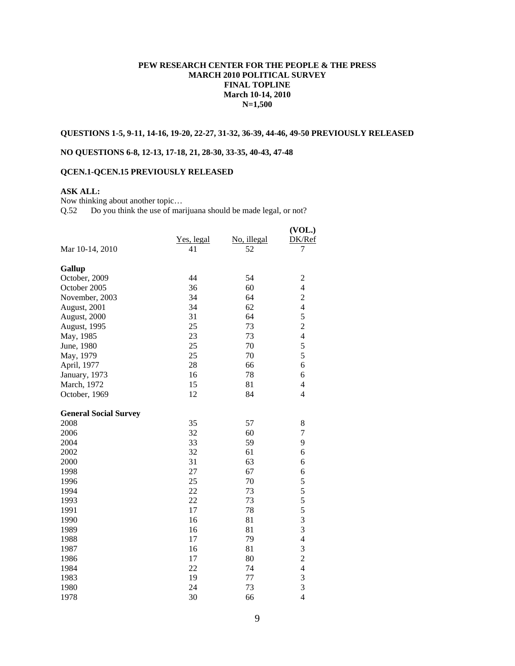#### **PEW RESEARCH CENTER FOR THE PEOPLE & THE PRESS MARCH 2010 POLITICAL SURVEY FINAL TOPLINE March 10-14, 2010 N=1,500**

#### **QUESTIONS 1-5, 9-11, 14-16, 19-20, 22-27, 31-32, 36-39, 44-46, 49-50 PREVIOUSLY RELEASED**

#### **NO QUESTIONS 6-8, 12-13, 17-18, 21, 28-30, 33-35, 40-43, 47-48**

## **QCEN.1-QCEN.15 PREVIOUSLY RELEASED**

### **ASK ALL:**

Now thinking about another topic…

Q.52 Do you think the use of marijuana should be made legal, or not?

|                              |            |             | (VOL.)                   |
|------------------------------|------------|-------------|--------------------------|
|                              | Yes, legal | No, illegal | DK/Ref                   |
| Mar 10-14, 2010              | 41         | 52          | 7                        |
| Gallup                       |            |             |                          |
| October, 2009                | 44         | 54          | $\overline{c}$           |
| October 2005                 | 36         | 60          | $\overline{4}$           |
| November, 2003               | 34         | 64          | $\overline{c}$           |
| August, 2001                 | 34         | 62          | $\overline{4}$           |
| August, 2000                 | 31         | 64          | 5                        |
| August, 1995                 | 25         | 73          | $\overline{c}$           |
| May, 1985                    | 23         | 73          | $\overline{4}$           |
| June, 1980                   | 25         | 70          | 5                        |
| May, 1979                    | 25         | 70          | 5                        |
| April, 1977                  | 28         | 66          | 6                        |
| January, 1973                | 16         | 78          | 6                        |
| March, 1972                  | 15         | 81          | 4                        |
| October, 1969                | 12         | 84          | $\overline{4}$           |
| <b>General Social Survey</b> |            |             |                          |
| 2008                         | 35         | 57          | $8\,$                    |
| 2006                         | 32         | 60          | 7                        |
| 2004                         | 33         | 59          | 9                        |
| 2002                         | 32         | 61          | 6                        |
| 2000                         | 31         | 63          | 6                        |
| 1998                         | 27         | 67          | 6                        |
| 1996                         | 25         | 70          | 5                        |
| 1994                         | 22         | 73          | 5                        |
| 1993                         | 22         | 73          | 5                        |
| 1991                         | 17         | 78          | 5                        |
| 1990                         | 16         | 81          | 3                        |
| 1989                         | 16         | 81          | 3                        |
| 1988                         | 17         | 79          | $\overline{\mathcal{L}}$ |
| 1987                         | 16         | 81          | 3                        |
| 1986                         | 17         | 80          | $\overline{c}$           |
| 1984                         | 22         | 74          | $\overline{4}$           |
| 1983                         | 19         | 77          | 3                        |
| 1980                         | 24         | 73          | $\overline{3}$           |
| 1978                         | 30         | 66          | $\overline{4}$           |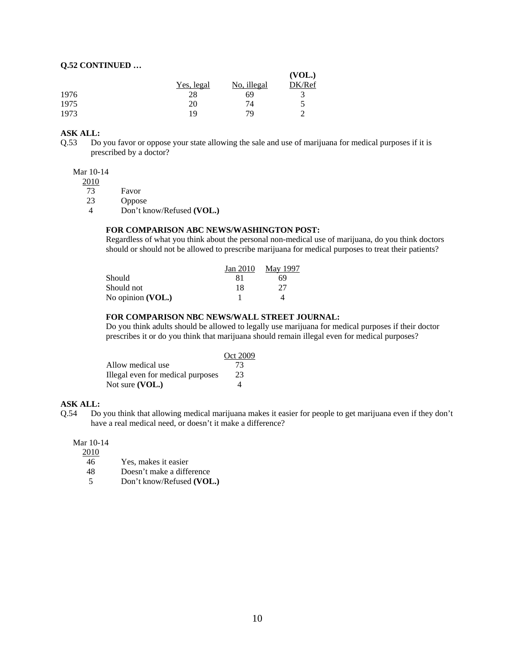#### **Q.52 CONTINUED …**

|      |            |             | (VOL.) |
|------|------------|-------------|--------|
|      | Yes, legal | No, illegal | DK/Ref |
| 1976 | 28         | 69          |        |
| 1975 | 20         | 74          | ↖      |
| 1973 | 19         | 79          | ◠      |

#### **ASK ALL:**

Q.53 Do you favor or oppose your state allowing the sale and use of marijuana for medical purposes if it is prescribed by a doctor?

#### Mar 10-14

2010

73 Favor

23 Oppose

4 Don't know/Refused **(VOL.)**

#### **FOR COMPARISON ABC NEWS/WASHINGTON POST:**

Regardless of what you think about the personal non-medical use of marijuana, do you think doctors should or should not be allowed to prescribe marijuana for medical purposes to treat their patients?

|                   | Jan 2010 | <b>May 1997</b> |
|-------------------|----------|-----------------|
| Should            |          | 69              |
| Should not        | 18       | 27              |
| No opinion (VOL.) |          |                 |

#### **FOR COMPARISON NBC NEWS/WALL STREET JOURNAL:**

Do you think adults should be allowed to legally use marijuana for medical purposes if their doctor prescribes it or do you think that marijuana should remain illegal even for medical purposes?

|                                   | Oct 2009 |
|-----------------------------------|----------|
| Allow medical use                 | 73       |
| Illegal even for medical purposes | 23       |
| Not sure $(VOL.)$                 |          |

#### **ASK ALL:**

Q.54 Do you think that allowing medical marijuana makes it easier for people to get marijuana even if they don't have a real medical need, or doesn't it make a difference?

#### Mar 10-14

2010

| 46 | Yes, makes it easier |  |
|----|----------------------|--|
|    |                      |  |

- 48 Doesn't make a difference
- 5 Don't know/Refused **(VOL.)**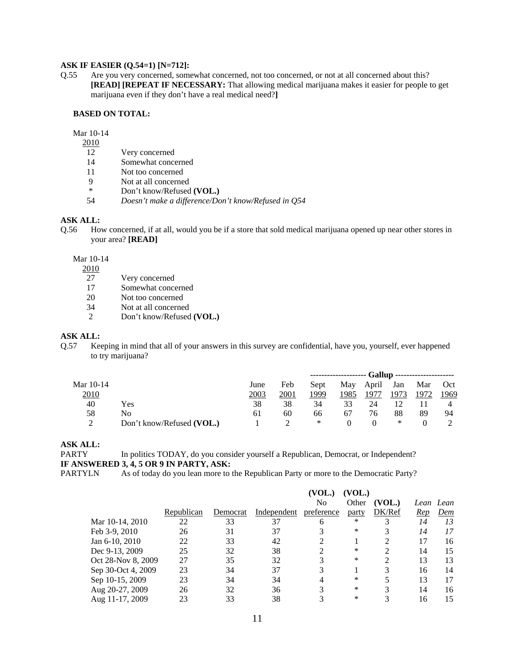#### **ASK IF EASIER (Q.54=1) [N=712]:**

Q.55 Are you very concerned, somewhat concerned, not too concerned, or not at all concerned about this? **[READ] [REPEAT IF NECESSARY:** That allowing medical marijuana makes it easier for people to get marijuana even if they don't have a real medical need?**]** 

#### **BASED ON TOTAL:**

Mar 10-14

- $\frac{2010}{12}$ 
	- Very concerned
- 14 Somewhat concerned
- 
- 11 Not too concerned<br>9 Not at all concerne Not at all concerned
- \* Don't know/Refused **(VOL.)**
- 54 *Doesn't make a difference/Don't know/Refused in Q54*

#### **ASK ALL:**

Q.56 How concerned, if at all, would you be if a store that sold medical marijuana opened up near other stores in your area? **[READ]** 

#### Mar 10-14

2010

- 27 Very concerned<br>17 Somewhat conce
- Somewhat concerned
- 20 Not too concerned
- 34 Not at all concerned
- 2 Don't know/Refused **(VOL.)**

#### **ASK ALL:**

Q.57 Keeping in mind that all of your answers in this survey are confidential, have you, yourself, ever happened to try marijuana?

|           |                           |      |      |      | -------------------- Gallup --------------------- |       |      |      |      |
|-----------|---------------------------|------|------|------|---------------------------------------------------|-------|------|------|------|
| Mar 10-14 |                           | June | Feb  | Sept | May                                               | April | Jan  | Mar  | Oct  |
| 2010      |                           | 2003 | 2001 | 1999 | 1985                                              | 1977  | 1973 | 1972 | 1969 |
| 40        | Yes                       | 38   | 38   | 34   | 33                                                | 24    |      |      |      |
| 58        | No                        | 61   | 60   | 66   | 67                                                | 76    | 88   | 89   | -94  |
|           | Don't know/Refused (VOL.) |      |      | ∗    |                                                   |       | ∗    |      |      |

#### **ASK ALL:**

PARTY In politics TODAY, do you consider yourself a Republican, Democrat, or Independent? **IF ANSWERED 3, 4, 5 OR 9 IN PARTY, ASK:**

PARTYLN As of today do you lean more to the Republican Party or more to the Democratic Party?

|                    |            |          |             | (VOL.)     | (VOL.) |        |     |           |
|--------------------|------------|----------|-------------|------------|--------|--------|-----|-----------|
|                    |            |          |             | No         | Other  | (VOL.) |     | Lean Lean |
|                    | Republican | Democrat | Independent | preference | party  | DK/Ref | Rep | Dem       |
| Mar 10-14, 2010    | 22         | 33       | 37          | 6          | $\ast$ |        | 14  | 13        |
| Feb 3-9, 2010      | 26         | 31       | 37          |            | $\ast$ |        | 14  | 17        |
| Jan 6-10, 2010     | 22         | 33       | 42          |            |        | ∍      | 17  | 16        |
| Dec 9-13, 2009     | 25         | 32       | 38          | ◠          | *      |        | 14  | 15        |
| Oct 28-Nov 8, 2009 | 27         | 35       | 32          | 3          | *      |        | 13  | 13        |
| Sep 30-Oct 4, 2009 | 23         | 34       | 37          | 3          |        | 3      | 16  | 14        |
| Sep 10-15, 2009    | 23         | 34       | 34          |            | *      |        | 13  | 17        |
| Aug 20-27, 2009    | 26         | 32       | 36          |            | $\ast$ | 3      | 14  | 16        |
| Aug 11-17, 2009    | 23         | 33       | 38          |            | *      |        | 16  | 15        |